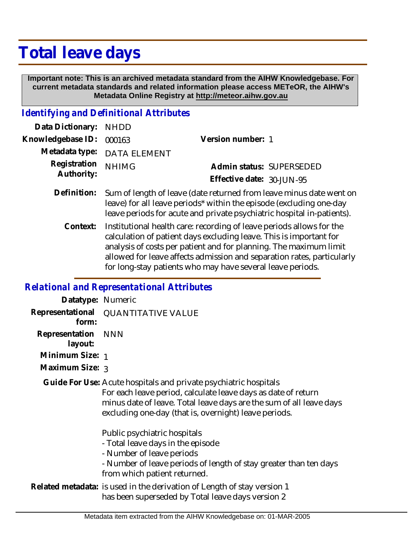# **Total leave days**

 **Important note: This is an archived metadata standard from the AIHW Knowledgebase. For current metadata standards and related information please access METeOR, the AIHW's Metadata Online Registry at http://meteor.aihw.gov.au**

#### *Identifying and Definitional Attributes*

| Data Dictionary: NHDD            |                             |                           |  |
|----------------------------------|-----------------------------|---------------------------|--|
| Knowledgebase ID: 000163         |                             | Version number: 1         |  |
|                                  | Metadata type: DATA ELEMENT |                           |  |
| Registration NHIMG<br>Authority: |                             | Admin status: SUPERSEDED  |  |
|                                  |                             | Effective date: 30-JUN-95 |  |
|                                  |                             |                           |  |

- Definition: Sum of length of leave (date returned from leave minus date went on leave) for all leave periods\* within the episode (excluding one-day leave periods for acute and private psychiatric hospital in-patients).
	- Institutional health care: recording of leave periods allows for the calculation of patient days excluding leave. This is important for analysis of costs per patient and for planning. The maximum limit allowed for leave affects admission and separation rates, particularly for long-stay patients who may have several leave periods. **Context:**

### *Relational and Representational Attributes*

| Datatype: Numeric         |                                                                                                                                                                                                                                                                   |
|---------------------------|-------------------------------------------------------------------------------------------------------------------------------------------------------------------------------------------------------------------------------------------------------------------|
| form:                     | Representational QUANTITATIVE VALUE                                                                                                                                                                                                                               |
| Representation<br>layout: | <b>NNN</b>                                                                                                                                                                                                                                                        |
| Minimum Size: 1           |                                                                                                                                                                                                                                                                   |
| Maximum Size: 3           |                                                                                                                                                                                                                                                                   |
|                           | Guide For Use: Acute hospitals and private psychiatric hospitals<br>For each leave period, calculate leave days as date of return<br>minus date of leave. Total leave days are the sum of all leave days<br>excluding one-day (that is, overnight) leave periods. |
|                           | Public psychiatric hospitals<br>- Total leave days in the episode<br>- Number of leave periods<br>- Number of leave periods of length of stay greater than ten days<br>from which patient returned.                                                               |
|                           | Related metadata: is used in the derivation of Length of stay version 1<br>has been superseded by Total leave days version 2                                                                                                                                      |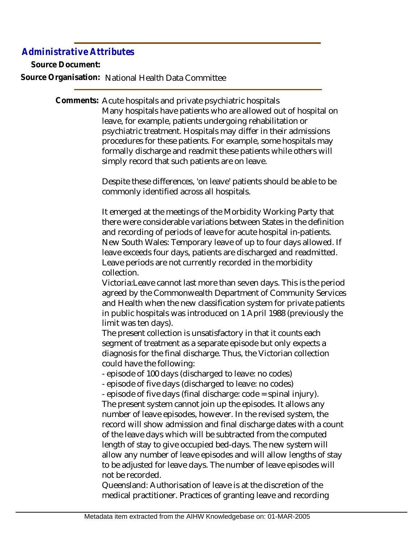## *Administrative Attributes*

**Source Document:**

**Source Organisation:** National Health Data Committee

Comments: Acute hospitals and private psychiatric hospitals Many hospitals have patients who are allowed out of hospital on leave, for example, patients undergoing rehabilitation or psychiatric treatment. Hospitals may differ in their admissions procedures for these patients. For example, some hospitals may formally discharge and readmit these patients while others will simply record that such patients are on leave.

> Despite these differences, 'on leave' patients should be able to be commonly identified across all hospitals.

It emerged at the meetings of the Morbidity Working Party that there were considerable variations between States in the definition and recording of periods of leave for acute hospital in-patients. New South Wales: Temporary leave of up to four days allowed. If leave exceeds four days, patients are discharged and readmitted. Leave periods are not currently recorded in the morbidity collection.

Victoria:Leave cannot last more than seven days. This is the period agreed by the Commonwealth Department of Community Services and Health when the new classification system for private patients in public hospitals was introduced on 1 April 1988 (previously the limit was ten days).

The present collection is unsatisfactory in that it counts each segment of treatment as a separate episode but only expects a diagnosis for the final discharge. Thus, the Victorian collection could have the following:

- episode of 100 days (discharged to leave: no codes)

- episode of five days (discharged to leave: no codes)

- episode of five days (final discharge: code = spinal injury). The present system cannot join up the episodes. It allows any number of leave episodes, however. In the revised system, the record will show admission and final discharge dates with a count of the leave days which will be subtracted from the computed length of stay to give occupied bed-days. The new system will allow any number of leave episodes and will allow lengths of stay to be adjusted for leave days. The number of leave episodes will not be recorded.

Queensland: Authorisation of leave is at the discretion of the medical practitioner. Practices of granting leave and recording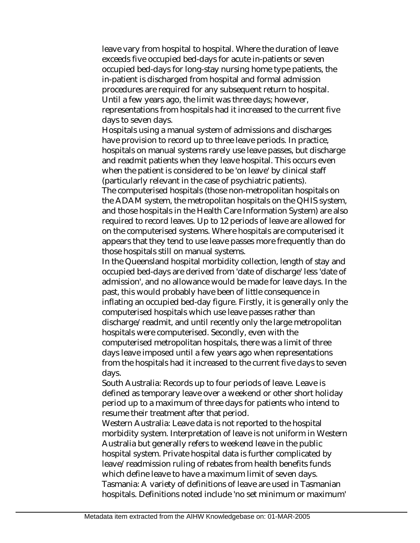leave vary from hospital to hospital. Where the duration of leave exceeds five occupied bed-days for acute in-patients or seven occupied bed-days for long-stay nursing home type patients, the in-patient is discharged from hospital and formal admission procedures are required for any subsequent return to hospital. Until a few years ago, the limit was three days; however, representations from hospitals had it increased to the current five days to seven days.

Hospitals using a manual system of admissions and discharges have provision to record up to three leave periods. In practice, hospitals on manual systems rarely use leave passes, but discharge and readmit patients when they leave hospital. This occurs even when the patient is considered to be 'on leave' by clinical staff (particularly relevant in the case of psychiatric patients).

The computerised hospitals (those non-metropolitan hospitals on the ADAM system, the metropolitan hospitals on the QHIS system, and those hospitals in the Health Care Information System) are also required to record leaves. Up to 12 periods of leave are allowed for on the computerised systems. Where hospitals are computerised it appears that they tend to use leave passes more frequently than do those hospitals still on manual systems.

In the Queensland hospital morbidity collection, length of stay and occupied bed-days are derived from 'date of discharge' less 'date of admission', and no allowance would be made for leave days. In the past, this would probably have been of little consequence in inflating an occupied bed-day figure. Firstly, it is generally only the computerised hospitals which use leave passes rather than discharge/readmit, and until recently only the large metropolitan hospitals were computerised. Secondly, even with the computerised metropolitan hospitals, there was a limit of three days leave imposed until a few years ago when representations from the hospitals had it increased to the current five days to seven days.

South Australia: Records up to four periods of leave. Leave is defined as temporary leave over a weekend or other short holiday period up to a maximum of three days for patients who intend to resume their treatment after that period.

Western Australia: Leave data is not reported to the hospital morbidity system. Interpretation of leave is not uniform in Western Australia but generally refers to weekend leave in the public hospital system. Private hospital data is further complicated by leave/readmission ruling of rebates from health benefits funds which define leave to have a maximum limit of seven days. Tasmania: A variety of definitions of leave are used in Tasmanian hospitals. Definitions noted include 'no set minimum or maximum'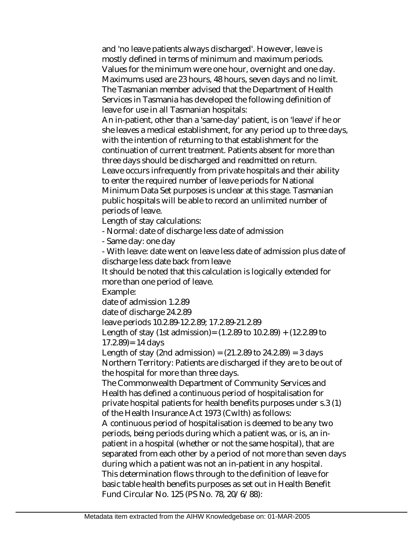and 'no leave patients always discharged'. However, leave is mostly defined in terms of minimum and maximum periods. Values for the minimum were one hour, overnight and one day. Maximums used are 23 hours, 48 hours, seven days and no limit. The Tasmanian member advised that the Department of Health Services in Tasmania has developed the following definition of leave for use in all Tasmanian hospitals:

An in-patient, other than a 'same-day' patient, is on 'leave' if he or she leaves a medical establishment, for any period up to three days, with the intention of returning to that establishment for the continuation of current treatment. Patients absent for more than three days should be discharged and readmitted on return. Leave occurs infrequently from private hospitals and their ability to enter the required number of leave periods for National Minimum Data Set purposes is unclear at this stage. Tasmanian public hospitals will be able to record an unlimited number of periods of leave.

Length of stay calculations:

- Normal: date of discharge less date of admission

- Same day: one day

- With leave: date went on leave less date of admission plus date of discharge less date back from leave

It should be noted that this calculation is logically extended for more than one period of leave.

Example:

date of admission 1.2.89

date of discharge 24.2.89

leave periods 10.2.89-12.2.89; 17.2.89-21.2.89

Length of stay (1st admission) =  $(1.2.89 \text{ to } 10.2.89) + (12.2.89 \text{ to } 10.2)$  $17.2.89 = 14 \text{ days}$ 

Length of stay (2nd admission) =  $(21.2.89$  to  $24.2.89)$  = 3 days Northern Territory: Patients are discharged if they are to be out of the hospital for more than three days.

The Commonwealth Department of Community Services and Health has defined a continuous period of hospitalisation for private hospital patients for health benefits purposes under s.3 (1) of the Health Insurance Act 1973 (Cwlth) as follows:

A continuous period of hospitalisation is deemed to be any two periods, being periods during which a patient was, or is, an inpatient in a hospital (whether or not the same hospital), that are separated from each other by a period of not more than seven days during which a patient was not an in-patient in any hospital. This determination flows through to the definition of leave for basic table health benefits purposes as set out in Health Benefit Fund Circular No. 125 (PS No. 78, 20/6/88):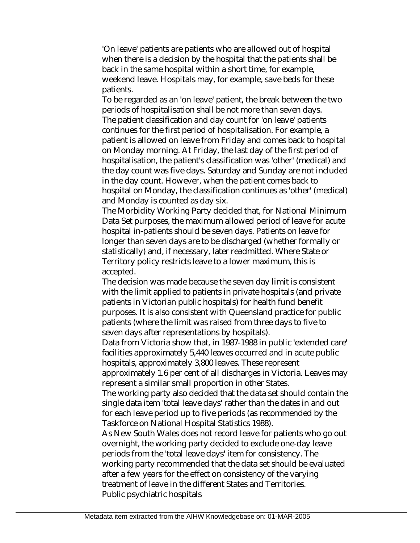'On leave' patients are patients who are allowed out of hospital when there is a decision by the hospital that the patients shall be back in the same hospital within a short time, for example, weekend leave. Hospitals may, for example, save beds for these patients.

To be regarded as an 'on leave' patient, the break between the two periods of hospitalisation shall be not more than seven days. The patient classification and day count for 'on leave' patients continues for the first period of hospitalisation. For example, a patient is allowed on leave from Friday and comes back to hospital on Monday morning. At Friday, the last day of the first period of hospitalisation, the patient's classification was 'other' (medical) and the day count was five days. Saturday and Sunday are not included in the day count. However, when the patient comes back to hospital on Monday, the classification continues as 'other' (medical) and Monday is counted as day six.

The Morbidity Working Party decided that, for National Minimum Data Set purposes, the maximum allowed period of leave for acute hospital in-patients should be seven days. Patients on leave for longer than seven days are to be discharged (whether formally or statistically) and, if necessary, later readmitted. Where State or Territory policy restricts leave to a lower maximum, this is accepted.

The decision was made because the seven day limit is consistent with the limit applied to patients in private hospitals (and private patients in Victorian public hospitals) for health fund benefit purposes. It is also consistent with Queensland practice for public patients (where the limit was raised from three days to five to seven days after representations by hospitals).

Data from Victoria show that, in 1987-1988 in public 'extended care' facilities approximately 5,440 leaves occurred and in acute public hospitals, approximately 3,800 leaves. These represent approximately 1.6 per cent of all discharges in Victoria. Leaves may represent a similar small proportion in other States.

The working party also decided that the data set should contain the single data item 'total leave days' rather than the dates in and out for each leave period up to five periods (as recommended by the Taskforce on National Hospital Statistics 1988).

As New South Wales does not record leave for patients who go out overnight, the working party decided to exclude one-day leave periods from the 'total leave days' item for consistency. The working party recommended that the data set should be evaluated after a few years for the effect on consistency of the varying treatment of leave in the different States and Territories. Public psychiatric hospitals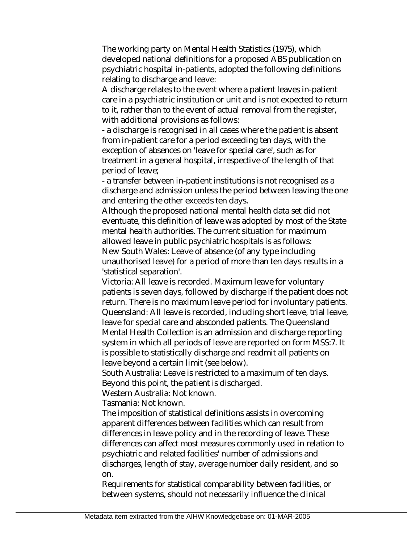The working party on Mental Health Statistics (1975), which developed national definitions for a proposed ABS publication on psychiatric hospital in-patients, adopted the following definitions relating to discharge and leave:

A discharge relates to the event where a patient leaves in-patient care in a psychiatric institution or unit and is not expected to return to it, rather than to the event of actual removal from the register, with additional provisions as follows:

- a discharge is recognised in all cases where the patient is absent from in-patient care for a period exceeding ten days, with the exception of absences on 'leave for special care', such as for treatment in a general hospital, irrespective of the length of that period of leave;

- a transfer between in-patient institutions is not recognised as a discharge and admission unless the period between leaving the one and entering the other exceeds ten days.

Although the proposed national mental health data set did not eventuate, this definition of leave was adopted by most of the State mental health authorities. The current situation for maximum allowed leave in public psychiatric hospitals is as follows:

New South Wales: Leave of absence (of any type including unauthorised leave) for a period of more than ten days results in a 'statistical separation'.

Victoria: All leave is recorded. Maximum leave for voluntary patients is seven days, followed by discharge if the patient does not return. There is no maximum leave period for involuntary patients. Queensland: All leave is recorded, including short leave, trial leave, leave for special care and absconded patients. The Queensland Mental Health Collection is an admission and discharge reporting system in which all periods of leave are reported on form MSS:7. It is possible to statistically discharge and readmit all patients on leave beyond a certain limit (see below).

South Australia: Leave is restricted to a maximum of ten days. Beyond this point, the patient is discharged.

Western Australia: Not known.

Tasmania: Not known.

The imposition of statistical definitions assists in overcoming apparent differences between facilities which can result from differences in leave policy and in the recording of leave. These differences can affect most measures commonly used in relation to psychiatric and related facilities' number of admissions and discharges, length of stay, average number daily resident, and so on.

Requirements for statistical comparability between facilities, or between systems, should not necessarily influence the clinical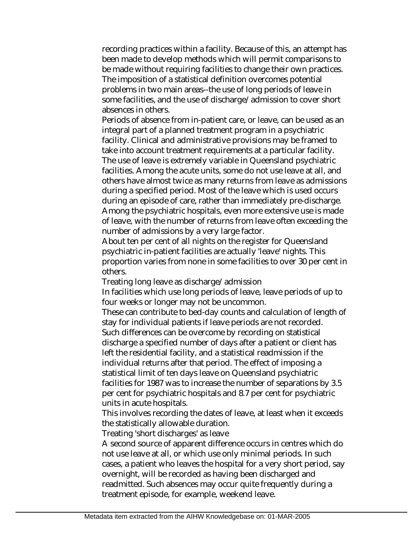recording practices within a facility. Because of this, an attempt has been made to develop methods which will permit comparisons to be made without requiring facilities to change their own practices. The imposition of a statistical definition overcomes potential problems in two main areas--the use of long periods of leave in some facilities, and the use of discharge/admission to cover short absences in others.

Periods of absence from in-patient care, or leave, can be used as an integral part of a planned treatment program in a psychiatric facility. Clinical and administrative provisions may be framed to take into account treatment requirements at a particular facility. The use of leave is extremely variable in Queensland psychiatric facilities. Among the acute units, some do not use leave at all, and others have almost twice as many returns from leave as admissions during a specified period. Most of the leave which is used occurs during an episode of care, rather than immediately pre-discharge. Among the psychiatric hospitals, even more extensive use is made of leave, with the number of returns from leave often exceeding the number of admissions by a very large factor.

About ten per cent of all nights on the register for Queensland psychiatric in-patient facilities are actually 'leave' nights. This proportion varies from none in some facilities to over 30 per cent in others.

Treating long leave as discharge/admission

In facilities which use long periods of leave, leave periods of up to four weeks or longer may not be uncommon.

These can contribute to bed-day counts and calculation of length of stay for individual patients if leave periods are not recorded. Such differences can be overcome by recording on statistical discharge a specified number of days after a patient or client has left the residential facility, and a statistical readmission if the individual returns after that period. The effect of imposing a statistical limit of ten days leave on Queensland psychiatric facilities for 1987 was to increase the number of separations by 3.5 per cent for psychiatric hospitals and 8.7 per cent for psychiatric units in acute hospitals.

This involves recording the dates of leave, at least when it exceeds the statistically allowable duration.

Treating 'short discharges' as leave

A second source of apparent difference occurs in centres which do not use leave at all, or which use only minimal periods. In such cases, a patient who leaves the hospital for a very short period, say overnight, will be recorded as having been discharged and readmitted. Such absences may occur quite frequently during a treatment episode, for example, weekend leave.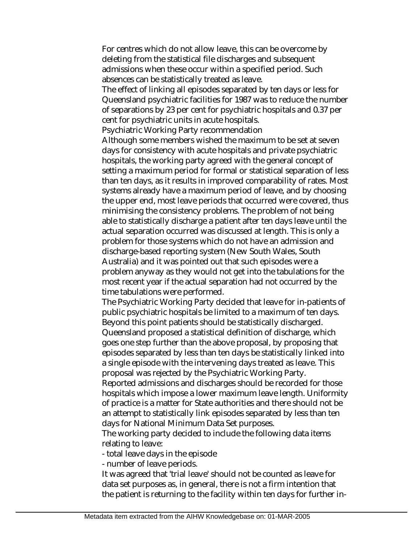For centres which do not allow leave, this can be overcome by deleting from the statistical file discharges and subsequent admissions when these occur within a specified period. Such absences can be statistically treated as leave.

The effect of linking all episodes separated by ten days or less for Queensland psychiatric facilities for 1987 was to reduce the number of separations by 23 per cent for psychiatric hospitals and 0.37 per cent for psychiatric units in acute hospitals.

Psychiatric Working Party recommendation

Although some members wished the maximum to be set at seven days for consistency with acute hospitals and private psychiatric hospitals, the working party agreed with the general concept of setting a maximum period for formal or statistical separation of less than ten days, as it results in improved comparability of rates. Most systems already have a maximum period of leave, and by choosing the upper end, most leave periods that occurred were covered, thus minimising the consistency problems. The problem of not being able to statistically discharge a patient after ten days leave until the actual separation occurred was discussed at length. This is only a problem for those systems which do not have an admission and discharge-based reporting system (New South Wales, South Australia) and it was pointed out that such episodes were a problem anyway as they would not get into the tabulations for the most recent year if the actual separation had not occurred by the time tabulations were performed.

The Psychiatric Working Party decided that leave for in-patients of public psychiatric hospitals be limited to a maximum of ten days. Beyond this point patients should be statistically discharged. Queensland proposed a statistical definition of discharge, which goes one step further than the above proposal, by proposing that episodes separated by less than ten days be statistically linked into a single episode with the intervening days treated as leave. This proposal was rejected by the Psychiatric Working Party. Reported admissions and discharges should be recorded for those

hospitals which impose a lower maximum leave length. Uniformity of practice is a matter for State authorities and there should not be an attempt to statistically link episodes separated by less than ten days for National Minimum Data Set purposes.

The working party decided to include the following data items relating to leave:

- total leave days in the episode

- number of leave periods.

It was agreed that 'trial leave' should not be counted as leave for data set purposes as, in general, there is not a firm intention that the patient is returning to the facility within ten days for further in